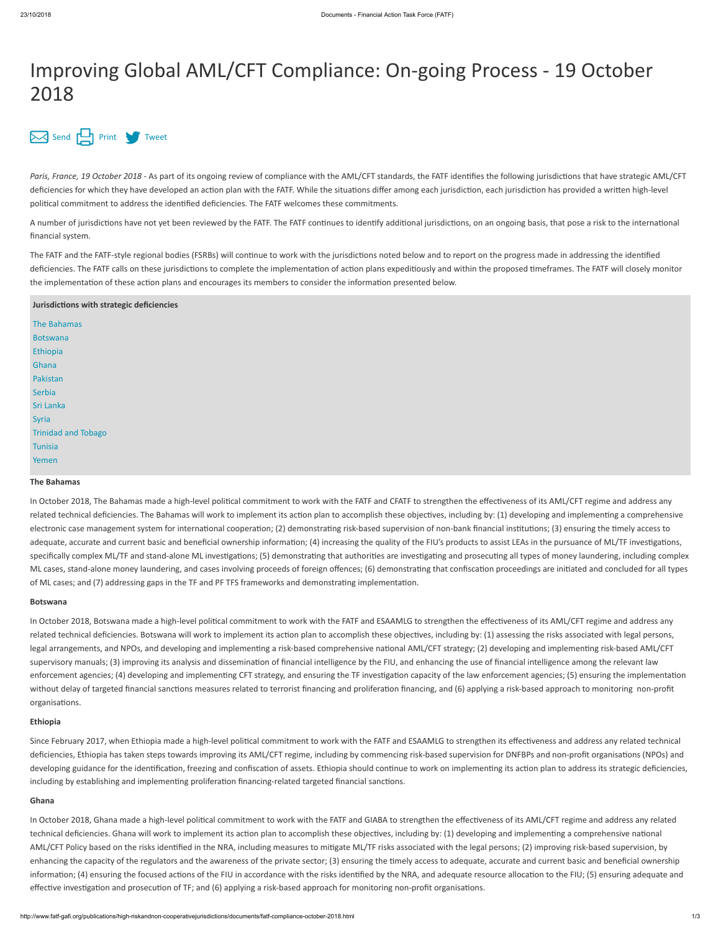# Improving Global AML/CFT Compliance: On-going Process - 19 October 2018

# [Send](mailto:?body=http://www.fatf-gafi.org//publications/high-riskandnon-cooperativejurisdictions/documents/fatf-compliance-october-2018.html&subject=Improving%20Global%20AML/CFT%20Compliance:%20On-going%20Process%20-%2019%20October%202018) [Print](javascript:$(".printable").printThis({importCSS: true,importStyle: true, printDelay: 555 });) [Tweet](https://twitter.com/intent/tweet?text=Improving%20Global%20AML/CFT%20Compliance:%20On-going%20Process%20-%2019%20October%202018&url=http://www.fatf-gafi.org//publications/high-riskandnon-cooperativejurisdictions/documents/fatf-compliance-october-2018.html&hashtags=FATF&via=FATFNews)

Paris, France, 19 October 2018 - As part of its ongoing review of compliance with the AML/CFT standards, the FATF identifies the following jurisdictions that have strategic AML/CFT deficiencies for which they have developed an action plan with the FATF. While the situations differ among each jurisdiction, each jurisdiction has provided a written high-level polical commitment to address the idenfied deficiencies. The FATF welcomes these commitments.

A number of jurisdictions have not yet been reviewed by the FATF. The FATF continues to identify additional jurisdictions, on an ongoing basis, that pose a risk to the international financial system.

The FATF and the FATF-style regional bodies (FSRBs) will continue to work with the jurisdictions noted below and to report on the progress made in addressing the identified deficiencies. The FATF calls on these jurisdictions to complete the implementation of action plans expeditiously and within the proposed timeframes. The FATF will closely monitor the implementation of these action plans and encourages its members to consider the information presented below.

# **Jurisdictions with strategic deficiencies**

| The Bahamas                |
|----------------------------|
| Botswana                   |
| Ethiopia                   |
| Ghana                      |
| Pakistan                   |
| Serbia                     |
| Sri Lanka                  |
| Syria                      |
| <b>Trinidad and Tobago</b> |
| Tunisia                    |
| Yemen                      |

## <span id="page-0-0"></span>**The Bahamas**

In October 2018, The Bahamas made a high-level political commitment to work with the FATF and CFATF to strengthen the effectiveness of its AML/CFT regime and address any related technical deficiencies. The Bahamas will work to implement its action plan to accomplish these objectives, including by: (1) developing and implementing a comprehensive electronic case management system for international cooperation; (2) demonstrating risk-based supervision of non-bank financial institutions; (3) ensuring the timely access to adequate, accurate and current basic and beneficial ownership information; (4) increasing the quality of the FIU's products to assist LEAs in the pursuance of ML/TF investigations, specifically complex ML/TF and stand-alone ML investigations; (5) demonstrating that authorities are investigating and prosecuting all types of money laundering, including complex ML cases, stand-alone money laundering, and cases involving proceeds of foreign offences; (6) demonstrating that confiscation proceedings are initiated and concluded for all types of ML cases; and (7) addressing gaps in the TF and PF TFS frameworks and demonstrating implementation.

## <span id="page-0-1"></span>**Botswana**

In October 2018, Botswana made a high-level political commitment to work with the FATF and ESAAMLG to strengthen the effectiveness of its AML/CFT regime and address any related technical deficiencies. Botswana will work to implement its action plan to accomplish these objectives, including by: (1) assessing the risks associated with legal persons, legal arrangements, and NPOs, and developing and implementing a risk-based comprehensive national AML/CFT strategy; (2) developing and implementing risk-based AML/CFT supervisory manuals; (3) improving its analysis and dissemination of financial intelligence by the FIU, and enhancing the use of financial intelligence among the relevant law enforcement agencies; (4) developing and implementing CFT strategy, and ensuring the TF investigation capacity of the law enforcement agencies; (5) ensuring the implementation without delay of targeted financial sanctions measures related to terrorist financing and proliferation financing, and (6) applying a risk-based approach to monitoring non-profit organisations.

# <span id="page-0-2"></span>**Ethiopia**

Since February 2017, when Ethiopia made a high-level political commitment to work with the FATF and ESAAMLG to strengthen its effectiveness and address any related technical deficiencies, Ethiopia has taken steps towards improving its AML/CFT regime, including by commencing risk-based supervision for DNFBPs and non-profit organisations (NPOs) and developing guidance for the identification, freezing and confiscation of assets. Ethiopia should continue to work on implementing its action plan to address its strategic deficiencies, including by establishing and implementing proliferation financing-related targeted financial sanctions.

#### **Ghana**

In October 2018, Ghana made a high-level political commitment to work with the FATF and GIABA to strengthen the effectiveness of its AML/CFT regime and address any related technical deficiencies. Ghana will work to implement its action plan to accomplish these objectives, including by: (1) developing and implementing a comprehensive national AML/CFT Policy based on the risks idenfied in the NRA, including measures to migate ML/TF risks associated with the legal persons; (2) improving risk-based supervision, by enhancing the capacity of the regulators and the awareness of the private sector; (3) ensuring the mely access to adequate, accurate and current basic and beneficial ownership information; (4) ensuring the focused actions of the FIU in accordance with the risks identified by the NRA, and adequate resource allocation to the FIU; (5) ensuring adequate and effective investigation and prosecution of TF; and (6) applying a risk-based approach for monitoring non-profit organisations.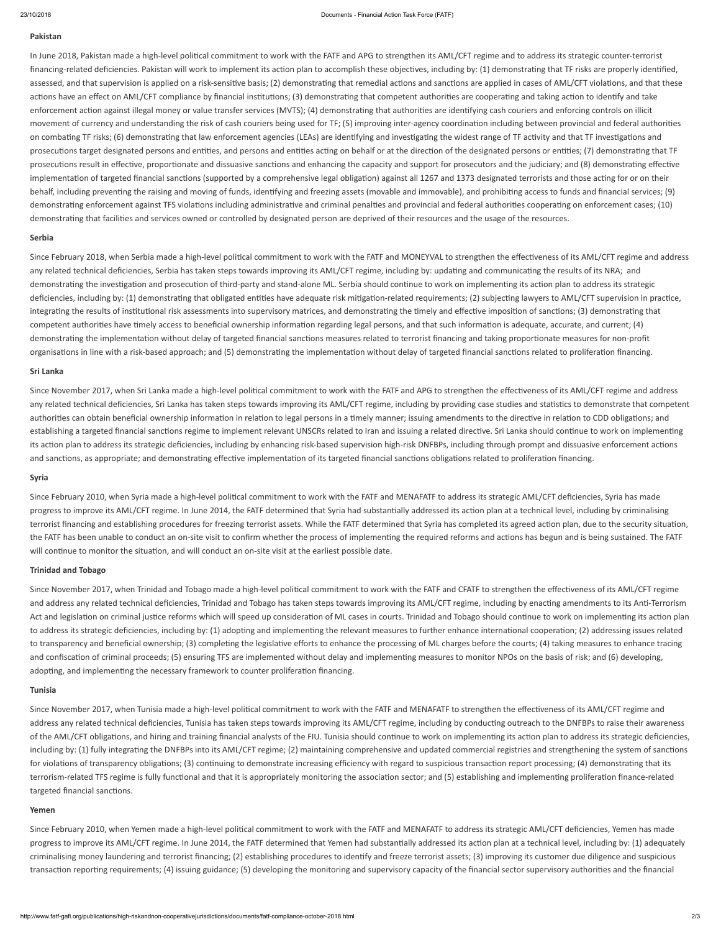#### <span id="page-1-0"></span>**Pakistan**

In June 2018, Pakistan made a high-level political commitment to work with the FATF and APG to strengthen its AML/CFT regime and to address its strategic counter-terrorist financing-related deficiencies. Pakistan will work to implement its action plan to accomplish these objectives, including by: (1) demonstrating that TF risks are properly identified, assessed, and that supervision is applied on a risk-sensitive basis; (2) demonstrating that remedial actions and sanctions are applied in cases of AML/CFT violations, and that these actions have an effect on AML/CFT compliance by financial institutions; (3) demonstrating that competent authorities are cooperating and taking action to identify and take enforcement action against illegal money or value transfer services (MVTS); (4) demonstrating that authorities are identifying cash couriers and enforcing controls on illicit movement of currency and understanding the risk of cash couriers being used for TF; (5) improving inter-agency coordination including between provincial and federal authorities on combating TF risks; (6) demonstrating that law enforcement agencies (LEAs) are identifying and investigating the widest range of TF activity and that TF investigations and prosecutions target designated persons and entities, and persons and entities acting on behalf or at the direction of the designated persons or entities; (7) demonstrating that TF prosecutions result in effective, proportionate and dissuasive sanctions and enhancing the capacity and support for prosecutors and the judiciary; and (8) demonstrating effective implementation of targeted financial sanctions (supported by a comprehensive legal obligation) against all 1267 and 1373 designated terrorists and those acting for or on their behalf, including preventing the raising and moving of funds, identifying and freezing assets (movable and immovable), and prohibiting access to funds and financial services; (9) demonstrating enforcement against TFS violations including administrative and criminal penalties and provincial and federal authorities cooperating on enforcement cases; (10) demonstrating that facilities and services owned or controlled by designated person are deprived of their resources and the usage of the resources.

#### <span id="page-1-1"></span>**Serbia**

Since February 2018, when Serbia made a high-level political commitment to work with the FATF and MONEYVAL to strengthen the effectiveness of its AML/CFT regime and address any related technical deficiencies, Serbia has taken steps towards improving its AML/CFT regime, including by: updating and communicating the results of its NRA; and demonstrating the investigation and prosecution of third-party and stand-alone ML. Serbia should continue to work on implementing its action plan to address its strategic deficiencies, including by: (1) demonstrating that obligated entities have adequate risk mitigation-related requirements; (2) subjecting lawyers to AML/CFT supervision in practice, integrating the results of institutional risk assessments into supervisory matrices, and demonstrating the timely and effective imposition of sanctions; (3) demonstrating that competent authorities have timely access to beneficial ownership information regarding legal persons, and that such information is adequate, accurate, and current; (4) demonstrating the implementation without delay of targeted financial sanctions measures related to terrorist financing and taking proportionate measures for non-profit organisations in line with a risk-based approach; and (5) demonstrating the implementation without delay of targeted financial sanctions related to proliferation financing.

#### **Sri Lanka**

Since November 2017, when Sri Lanka made a high-level political commitment to work with the FATF and APG to strengthen the effectiveness of its AML/CFT regime and address any related technical deficiencies, Sri Lanka has taken steps towards improving its AML/CFT regime, including by providing case studies and statistics to demonstrate that competent authorities can obtain beneficial ownership information in relation to legal persons in a timely manner; issuing amendments to the directive in relation to CDD obligations; and establishing a targeted financial sanctions regime to implement relevant UNSCRs related to Iran and issuing a related directive. Sri Lanka should continue to work on implementing its action plan to address its strategic deficiencies, including by enhancing risk-based supervision high-risk DNFBPs, including through prompt and dissuasive enforcement actions and sanctions, as appropriate; and demonstrating effective implementation of its targeted financial sanctions obligations related to proliferation financing.

#### <span id="page-1-2"></span>**Syria**

Since February 2010, when Syria made a high-level political commitment to work with the FATF and MENAFATF to address its strategic AML/CFT deficiencies, Syria has made progress to improve its AML/CFT regime. In June 2014, the FATF determined that Syria had substantially addressed its action plan at a technical level, including by criminalising terrorist financing and establishing procedures for freezing terrorist assets. While the FATF determined that Syria has completed its agreed action plan, due to the security situation, the FATF has been unable to conduct an on-site visit to confirm whether the process of implementing the required reforms and actions has begun and is being sustained. The FATF will continue to monitor the situation, and will conduct an on-site visit at the earliest possible date.

#### **Trinidad and Tobago**

Since November 2017, when Trinidad and Tobago made a high-level political commitment to work with the FATF and CFATF to strengthen the effectiveness of its AML/CFT regime and address any related technical deficiencies, Trinidad and Tobago has taken steps towards improving its AML/CFT regime, including by enacting amendments to its Anti-Terrorism Act and legislation on criminal justice reforms which will speed up consideration of ML cases in courts. Trinidad and Tobago should continue to work on implementing its action plan to address its strategic deficiencies, including by: (1) adopting and implementing the relevant measures to further enhance international cooperation; (2) addressing issues related to transparency and beneficial ownership; (3) completing the legislative efforts to enhance the processing of ML charges before the courts; (4) taking measures to enhance tracing and confiscation of criminal proceeds; (5) ensuring TFS are implemented without delay and implementing measures to monitor NPOs on the basis of risk; and (6) developing, adopting, and implementing the necessary framework to counter proliferation financing.

#### <span id="page-1-3"></span>**Tunisia**

Since November 2017, when Tunisia made a high-level political commitment to work with the FATF and MENAFATF to strengthen the effectiveness of its AML/CFT regime and address any related technical deficiencies, Tunisia has taken steps towards improving its AML/CFT regime, including by conducting outreach to the DNFBPs to raise their awareness of the AML/CFT obligations, and hiring and training financial analysts of the FIU. Tunisia should continue to work on implementing its action plan to address its strategic deficiencies, including by: (1) fully integrating the DNFBPs into its AML/CFT regime; (2) maintaining comprehensive and updated commercial registries and strengthening the system of sanctions for violations of transparency obligations; (3) continuing to demonstrate increasing efficiency with regard to suspicious transaction report processing; (4) demonstrating that its terrorism-related TFS regime is fully functional and that it is appropriately monitoring the association sector; and (5) establishing and implementing proliferation finance-related targeted financial sanctions.

#### <span id="page-1-4"></span>**Yemen**

Since February 2010, when Yemen made a high-level political commitment to work with the FATF and MENAFATF to address its strategic AML/CFT deficiencies, Yemen has made progress to improve its AML/CFT regime. In June 2014, the FATF determined that Yemen had substantially addressed its action plan at a technical level, including by: (1) adequately criminalising money laundering and terrorist financing; (2) establishing procedures to identify and freeze terrorist assets; (3) improving its customer due diligence and suspicious transaction reporting requirements; (4) issuing guidance; (5) developing the monitoring and supervisory capacity of the financial sector supervisory authorities and the financial